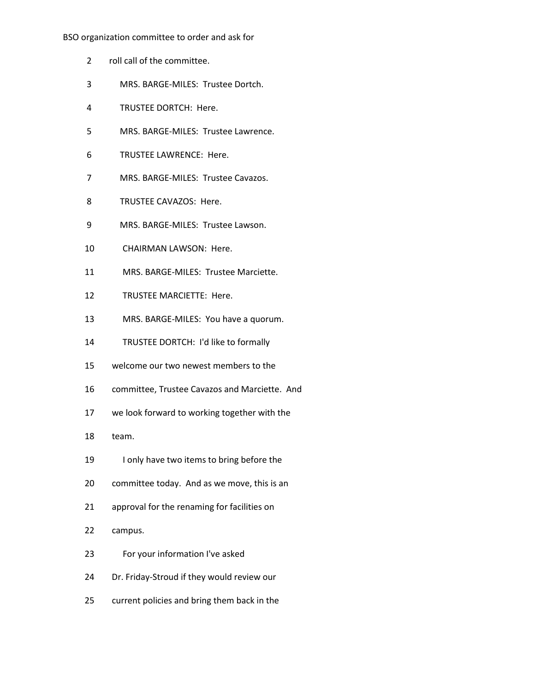## BSO organization committee to order and ask for

- 2 roll call of the committee.
- 3 MRS. BARGE-MILES: Trustee Dortch.
- 4 TRUSTEE DORTCH: Here.
- 5 MRS. BARGE-MILES: Trustee Lawrence.
- 6 TRUSTEE LAWRENCE: Here.
- 7 MRS. BARGE-MILES: Trustee Cavazos.
- 8 TRUSTEE CAVAZOS: Here.
- 9 MRS. BARGE-MILES: Trustee Lawson.
- 10 CHAIRMAN LAWSON: Here.
- 11 MRS. BARGE-MILES: Trustee Marciette.
- 12 TRUSTEE MARCIETTE: Here.
- 13 MRS. BARGE-MILES: You have a quorum.
- 14 TRUSTEE DORTCH: I'd like to formally
- 15 welcome our two newest members to the
- 16 committee, Trustee Cavazos and Marciette. And
- 17 we look forward to working together with the
- 18 team.
- 19 I only have two items to bring before the
- 20 committee today. And as we move, this is an
- 21 approval for the renaming for facilities on
- 22 campus.
- 23 For your information I've asked
- 24 Dr. Friday-Stroud if they would review our
- 25 current policies and bring them back in the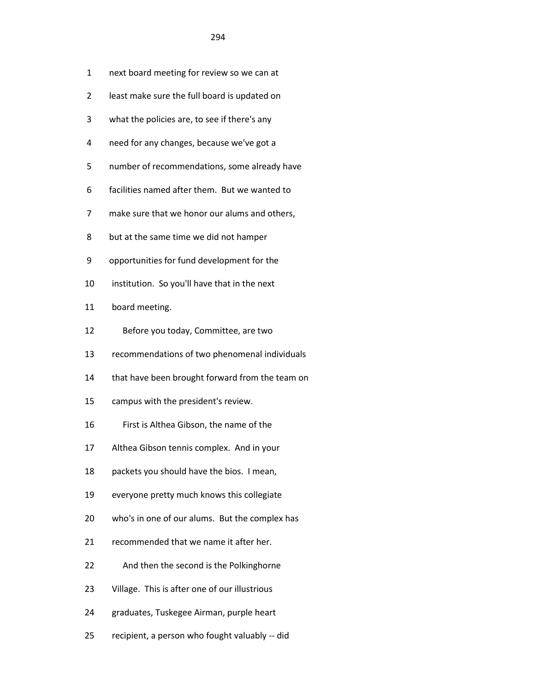- 1 next board meeting for review so we can at
- 2 least make sure the full board is updated on
- 3 what the policies are, to see if there's any
- 4 need for any changes, because we've got a
- 5 number of recommendations, some already have
- 6 facilities named after them. But we wanted to
- 7 make sure that we honor our alums and others,
- 8 but at the same time we did not hamper
- 9 opportunities for fund development for the
- 10 institution. So you'll have that in the next
- 11 board meeting.
- 12 Before you today, Committee, are two
- 13 recommendations of two phenomenal individuals
- 14 that have been brought forward from the team on
- 15 campus with the president's review.
- 16 First is Althea Gibson, the name of the
- 17 Althea Gibson tennis complex. And in your
- 18 packets you should have the bios. I mean,
- 19 everyone pretty much knows this collegiate
- 20 who's in one of our alums. But the complex has
- 21 recommended that we name it after her.
- 22 And then the second is the Polkinghorne
- 23 Village. This is after one of our illustrious
- 24 graduates, Tuskegee Airman, purple heart
- 25 recipient, a person who fought valuably -- did